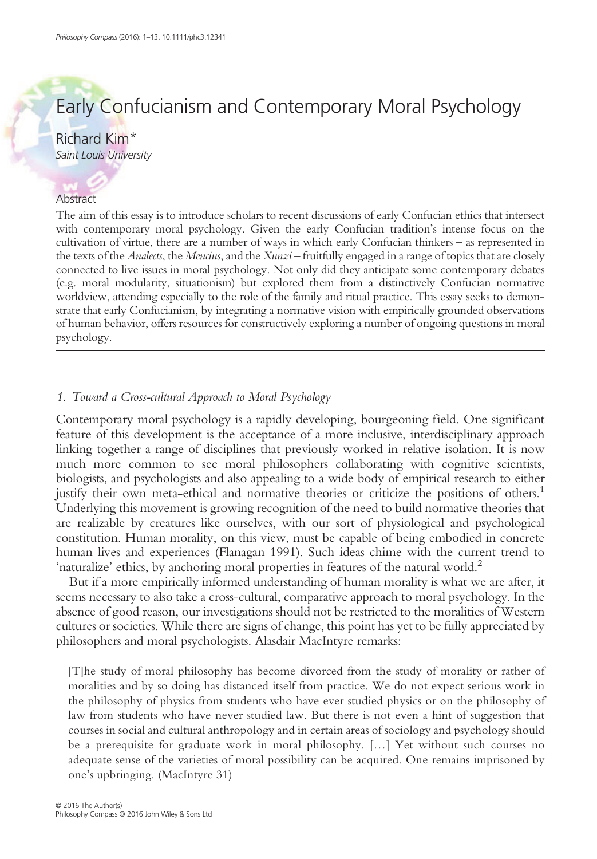# Early Confucianism and Contemporary Moral Psychology

Richard Kim\* Saint Louis University

#### Abstract

The aim of this essay is to introduce scholars to recent discussions of early Confucian ethics that intersect with contemporary moral psychology. Given the early Confucian tradition's intense focus on the cultivation of virtue, there are a number of ways in which early Confucian thinkers – as represented in the texts of the Analects, the Mencius, and the Xunzi-fruitfully engaged in a range of topics that are closely connected to live issues in moral psychology. Not only did they anticipate some contemporary debates (e.g. moral modularity, situationism) but explored them from a distinctively Confucian normative worldview, attending especially to the role of the family and ritual practice. This essay seeks to demonstrate that early Confucianism, by integrating a normative vision with empirically grounded observations of human behavior, offers resources for constructively exploring a number of ongoing questions in moral psychology.

#### 1. Toward a Cross-cultural Approach to Moral Psychology

Contemporary moral psychology is a rapidly developing, bourgeoning field. One significant feature of this development is the acceptance of a more inclusive, interdisciplinary approach linking together a range of disciplines that previously worked in relative isolation. It is now much more common to see moral philosophers collaborating with cognitive scientists, biologists, and psychologists and also appealing to a wide body of empirical research to either justify their own meta-ethical and normative theories or criticize the positions of others.<sup>1</sup> Underlying this movement is growing recognition of the need to build normative theories that are realizable by creatures like ourselves, with our sort of physiological and psychological constitution. Human morality, on this view, must be capable of being embodied in concrete human lives and experiences (Flanagan 1991). Such ideas chime with the current trend to 'naturalize' ethics, by anchoring moral properties in features of the natural world.<sup>2</sup>

But if a more empirically informed understanding of human morality is what we are after, it seems necessary to also take a cross-cultural, comparative approach to moral psychology. In the absence of good reason, our investigations should not be restricted to the moralities of Western cultures or societies. While there are signs of change, this point has yet to be fully appreciated by philosophers and moral psychologists. Alasdair MacIntyre remarks:

[T]he study of moral philosophy has become divorced from the study of morality or rather of moralities and by so doing has distanced itself from practice. We do not expect serious work in the philosophy of physics from students who have ever studied physics or on the philosophy of law from students who have never studied law. But there is not even a hint of suggestion that courses in social and cultural anthropology and in certain areas of sociology and psychology should be a prerequisite for graduate work in moral philosophy. […] Yet without such courses no adequate sense of the varieties of moral possibility can be acquired. One remains imprisoned by one's upbringing. (MacIntyre 31)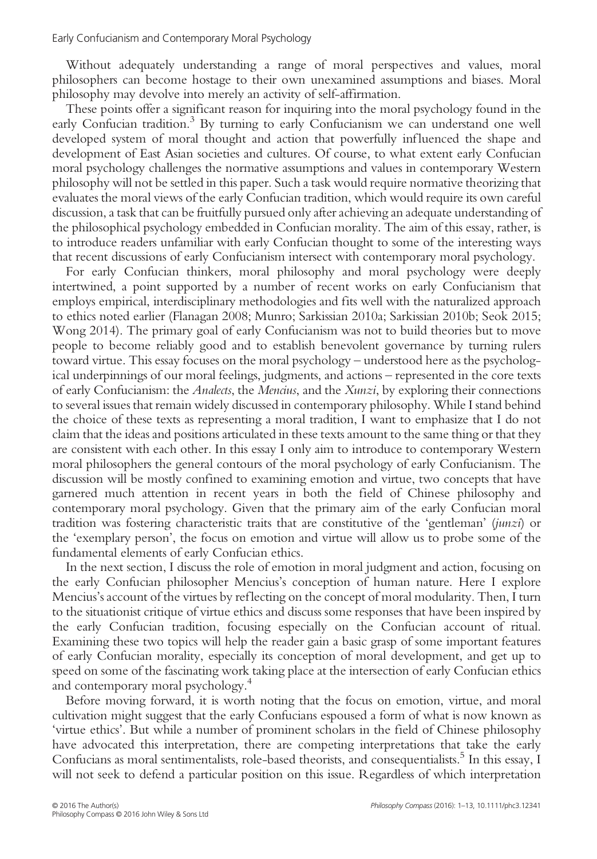Early Confucianism and Contemporary Moral Psychology

Without adequately understanding a range of moral perspectives and values, moral philosophers can become hostage to their own unexamined assumptions and biases. Moral philosophy may devolve into merely an activity of self-affirmation.

These points offer a significant reason for inquiring into the moral psychology found in the early Confucian tradition.<sup>3</sup> By turning to early Confucianism we can understand one well developed system of moral thought and action that powerfully inf luenced the shape and development of East Asian societies and cultures. Of course, to what extent early Confucian moral psychology challenges the normative assumptions and values in contemporary Western philosophy will not be settled in this paper. Such a task would require normative theorizing that evaluates the moral views of the early Confucian tradition, which would require its own careful discussion, a task that can be fruitfully pursued only after achieving an adequate understanding of the philosophical psychology embedded in Confucian morality. The aim of this essay, rather, is to introduce readers unfamiliar with early Confucian thought to some of the interesting ways that recent discussions of early Confucianism intersect with contemporary moral psychology.

For early Confucian thinkers, moral philosophy and moral psychology were deeply intertwined, a point supported by a number of recent works on early Confucianism that employs empirical, interdisciplinary methodologies and fits well with the naturalized approach to ethics noted earlier (Flanagan 2008; Munro; Sarkissian 2010a; Sarkissian 2010b; Seok 2015; Wong 2014). The primary goal of early Confucianism was not to build theories but to move people to become reliably good and to establish benevolent governance by turning rulers toward virtue. This essay focuses on the moral psychology – understood here as the psychological underpinnings of our moral feelings, judgments, and actions – represented in the core texts of early Confucianism: the Analects, the Mencius, and the Xunzi, by exploring their connections to several issues that remain widely discussed in contemporary philosophy. While I stand behind the choice of these texts as representing a moral tradition, I want to emphasize that I do not claim that the ideas and positions articulated in these texts amount to the same thing or that they are consistent with each other. In this essay I only aim to introduce to contemporary Western moral philosophers the general contours of the moral psychology of early Confucianism. The discussion will be mostly confined to examining emotion and virtue, two concepts that have garnered much attention in recent years in both the field of Chinese philosophy and contemporary moral psychology. Given that the primary aim of the early Confucian moral tradition was fostering characteristic traits that are constitutive of the 'gentleman' (junzi) or the 'exemplary person', the focus on emotion and virtue will allow us to probe some of the fundamental elements of early Confucian ethics.

In the next section, I discuss the role of emotion in moral judgment and action, focusing on the early Confucian philosopher Mencius's conception of human nature. Here I explore Mencius's account of the virtues by ref lecting on the concept of moral modularity. Then, I turn to the situationist critique of virtue ethics and discuss some responses that have been inspired by the early Confucian tradition, focusing especially on the Confucian account of ritual. Examining these two topics will help the reader gain a basic grasp of some important features of early Confucian morality, especially its conception of moral development, and get up to speed on some of the fascinating work taking place at the intersection of early Confucian ethics and contemporary moral psychology.4

Before moving forward, it is worth noting that the focus on emotion, virtue, and moral cultivation might suggest that the early Confucians espoused a form of what is now known as 'virtue ethics'. But while a number of prominent scholars in the field of Chinese philosophy have advocated this interpretation, there are competing interpretations that take the early Confucians as moral sentimentalists, role-based theorists, and consequentialists.<sup>5</sup> In this essay, I will not seek to defend a particular position on this issue. Regardless of which interpretation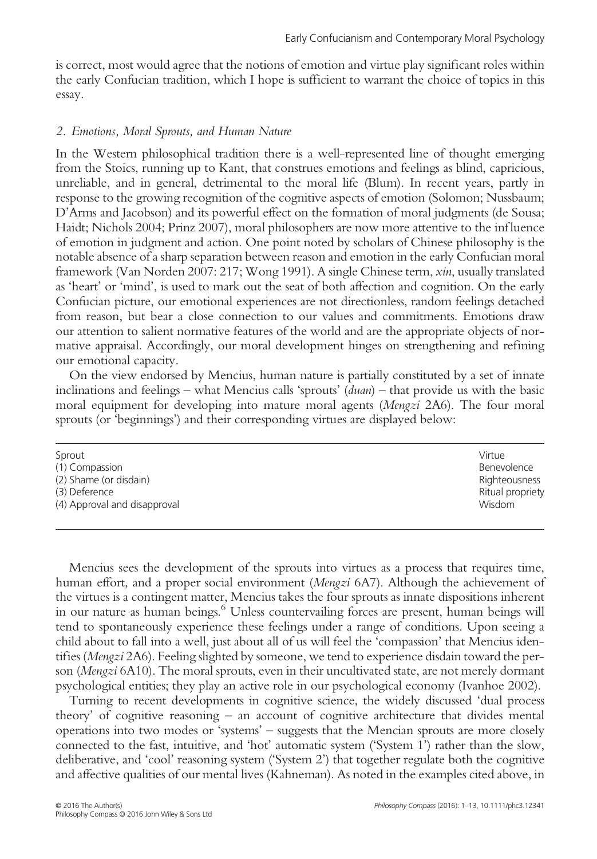is correct, most would agree that the notions of emotion and virtue play significant roles within the early Confucian tradition, which I hope is sufficient to warrant the choice of topics in this essay.

## 2. Emotions, Moral Sprouts, and Human Nature

In the Western philosophical tradition there is a well-represented line of thought emerging from the Stoics, running up to Kant, that construes emotions and feelings as blind, capricious, unreliable, and in general, detrimental to the moral life (Blum). In recent years, partly in response to the growing recognition of the cognitive aspects of emotion (Solomon; Nussbaum; D'Arms and Jacobson) and its powerful effect on the formation of moral judgments (de Sousa; Haidt; Nichols 2004; Prinz 2007), moral philosophers are now more attentive to the inf luence of emotion in judgment and action. One point noted by scholars of Chinese philosophy is the notable absence of a sharp separation between reason and emotion in the early Confucian moral framework (Van Norden 2007: 217; Wong 1991). A single Chinese term, xin, usually translated as 'heart' or 'mind', is used to mark out the seat of both affection and cognition. On the early Confucian picture, our emotional experiences are not directionless, random feelings detached from reason, but bear a close connection to our values and commitments. Emotions draw our attention to salient normative features of the world and are the appropriate objects of normative appraisal. Accordingly, our moral development hinges on strengthening and refining our emotional capacity.

On the view endorsed by Mencius, human nature is partially constituted by a set of innate inclinations and feelings – what Mencius calls 'sprouts'  $(duan)$  – that provide us with the basic moral equipment for developing into mature moral agents (Mengzi 2A6). The four moral sprouts (or 'beginnings') and their corresponding virtues are displayed below:

| Sprout                       | Virtue           |
|------------------------------|------------------|
| (1) Compassion               | Benevolence      |
| (2) Shame (or disdain)       | Righteousness    |
| (3) Deference                | Ritual propriety |
| (4) Approval and disapproval | <b>Wisdom</b>    |
|                              |                  |

Mencius sees the development of the sprouts into virtues as a process that requires time, human effort, and a proper social environment (*Mengzi* 6A7). Although the achievement of the virtues is a contingent matter, Mencius takes the four sprouts as innate dispositions inherent in our nature as human beings.<sup>6</sup> Unless countervailing forces are present, human beings will tend to spontaneously experience these feelings under a range of conditions. Upon seeing a child about to fall into a well, just about all of us will feel the 'compassion' that Mencius identifies (Mengzi 2A6). Feeling slighted by someone, we tend to experience disdain toward the person (Mengzi 6A10). The moral sprouts, even in their uncultivated state, are not merely dormant psychological entities; they play an active role in our psychological economy (Ivanhoe 2002).

Turning to recent developments in cognitive science, the widely discussed 'dual process theory' of cognitive reasoning – an account of cognitive architecture that divides mental operations into two modes or 'systems' – suggests that the Mencian sprouts are more closely connected to the fast, intuitive, and 'hot' automatic system ('System 1') rather than the slow, deliberative, and 'cool' reasoning system ('System 2') that together regulate both the cognitive and affective qualities of our mental lives (Kahneman). As noted in the examples cited above, in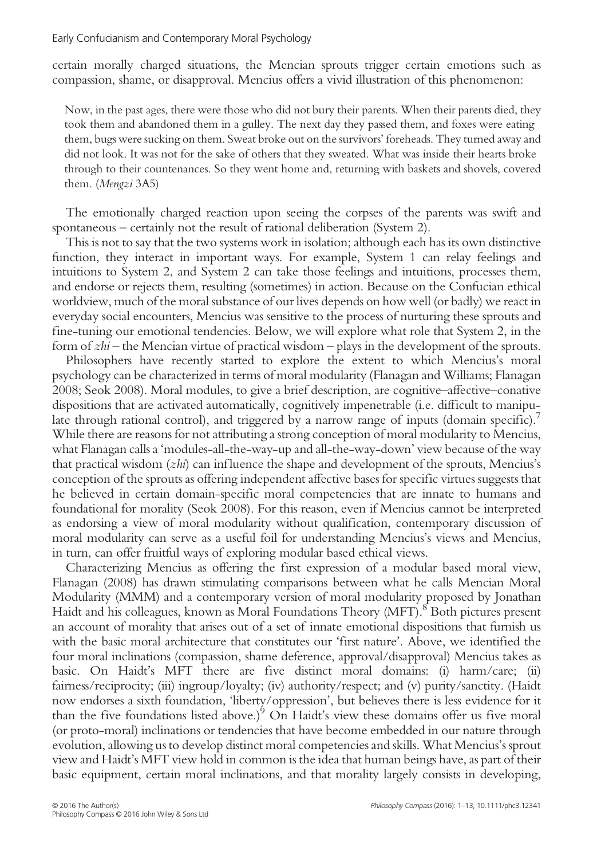certain morally charged situations, the Mencian sprouts trigger certain emotions such as compassion, shame, or disapproval. Mencius offers a vivid illustration of this phenomenon:

Now, in the past ages, there were those who did not bury their parents. When their parents died, they took them and abandoned them in a gulley. The next day they passed them, and foxes were eating them, bugs were sucking on them. Sweat broke out on the survivors' foreheads. They turned away and did not look. It was not for the sake of others that they sweated. What was inside their hearts broke through to their countenances. So they went home and, returning with baskets and shovels, covered them. (Mengzi 3A5)

The emotionally charged reaction upon seeing the corpses of the parents was swift and spontaneous – certainly not the result of rational deliberation (System 2).

This is not to say that the two systems work in isolation; although each has its own distinctive function, they interact in important ways. For example, System 1 can relay feelings and intuitions to System 2, and System 2 can take those feelings and intuitions, processes them, and endorse or rejects them, resulting (sometimes) in action. Because on the Confucian ethical worldview, much of the moral substance of our lives depends on how well (or badly) we react in everyday social encounters, Mencius was sensitive to the process of nurturing these sprouts and fine-tuning our emotional tendencies. Below, we will explore what role that System 2, in the form of zhi – the Mencian virtue of practical wisdom – plays in the development of the sprouts.

Philosophers have recently started to explore the extent to which Mencius's moral psychology can be characterized in terms of moral modularity (Flanagan and Williams; Flanagan 2008; Seok 2008). Moral modules, to give a brief description, are cognitive–affective–conative dispositions that are activated automatically, cognitively impenetrable (i.e. difficult to manipulate through rational control), and triggered by a narrow range of inputs (domain specific).<sup>7</sup> While there are reasons for not attributing a strong conception of moral modularity to Mencius, what Flanagan calls a'modules-all-the-way-up and all-the-way-down' view because of the way that practical wisdom  $(zhi)$  can influence the shape and development of the sprouts, Mencius's conception of the sprouts as offering independent affective bases for specific virtues suggests that he believed in certain domain-specific moral competencies that are innate to humans and foundational for morality (Seok 2008). For this reason, even if Mencius cannot be interpreted as endorsing a view of moral modularity without qualification, contemporary discussion of moral modularity can serve as a useful foil for understanding Mencius's views and Mencius, in turn, can offer fruitful ways of exploring modular based ethical views.

Characterizing Mencius as offering the first expression of a modular based moral view, Flanagan (2008) has drawn stimulating comparisons between what he calls Mencian Moral Modularity (MMM) and a contemporary version of moral modularity proposed by Jonathan Haidt and his colleagues, known as Moral Foundations Theory (MFT).<sup>8</sup> Both pictures present an account of morality that arises out of a set of innate emotional dispositions that furnish us with the basic moral architecture that constitutes our 'first nature'. Above, we identified the four moral inclinations (compassion, shame deference, approval/disapproval) Mencius takes as basic. On Haidt's MFT there are five distinct moral domains: (i) harm/care; (ii) fairness/reciprocity; (iii) ingroup/loyalty; (iv) authority/respect; and (v) purity/sanctity. (Haidt now endorses a sixth foundation, 'liberty/oppression', but believes there is less evidence for it than the five foundations listed above.) $\overline{9}$  On Haidt's view these domains offer us five moral (or proto-moral) inclinations or tendencies that have become embedded in our nature through evolution, allowing us to develop distinct moral competencies and skills. What Mencius's sprout view and Haidt's MFT view hold in common is the idea that human beings have, as part of their basic equipment, certain moral inclinations, and that morality largely consists in developing,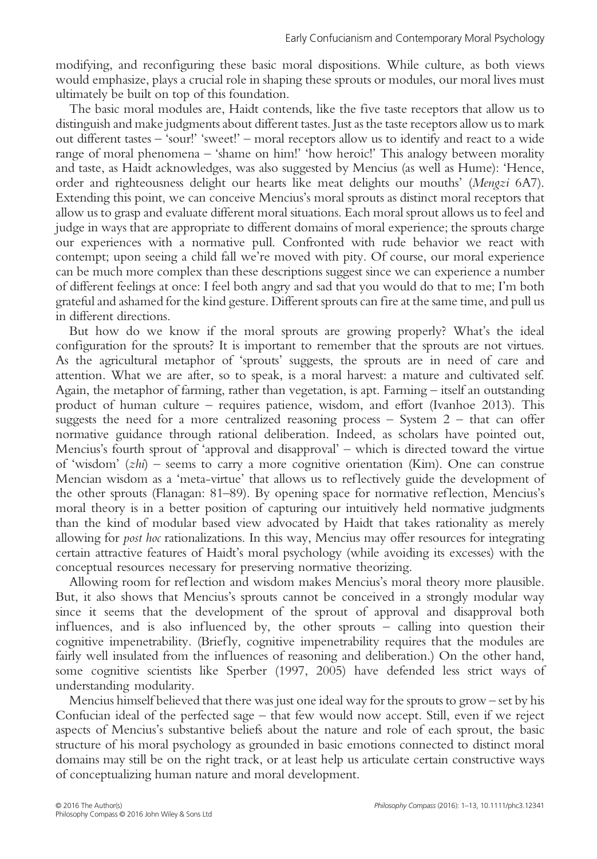modifying, and reconfiguring these basic moral dispositions. While culture, as both views would emphasize, plays a crucial role in shaping these sprouts or modules, our moral lives must ultimately be built on top of this foundation.

The basic moral modules are, Haidt contends, like the five taste receptors that allow us to distinguish and make judgments about different tastes. Just as the taste receptors allow us to mark out different tastes – 'sour!' 'sweet!' – moral receptors allow us to identify and react to a wide range of moral phenomena – 'shame on him!' 'how heroic!' This analogy between morality and taste, as Haidt acknowledges, was also suggested by Mencius (as well as Hume): 'Hence, order and righteousness delight our hearts like meat delights our mouths' (Mengzi 6A7). Extending this point, we can conceive Mencius's moral sprouts as distinct moral receptors that allow us to grasp and evaluate different moral situations. Each moral sprout allows us to feel and judge in ways that are appropriate to different domains of moral experience; the sprouts charge our experiences with a normative pull. Confronted with rude behavior we react with contempt; upon seeing a child fall we're moved with pity. Of course, our moral experience can be much more complex than these descriptions suggest since we can experience a number of different feelings at once: I feel both angry and sad that you would do that to me; I'm both grateful and ashamed for the kind gesture. Different sprouts can fire at the same time, and pull us in different directions.

But how do we know if the moral sprouts are growing properly? What's the ideal configuration for the sprouts? It is important to remember that the sprouts are not virtues. As the agricultural metaphor of 'sprouts' suggests, the sprouts are in need of care and attention. What we are after, so to speak, is a moral harvest: a mature and cultivated self. Again, the metaphor of farming, rather than vegetation, is apt. Farming – itself an outstanding product of human culture – requires patience, wisdom, and effort (Ivanhoe 2013). This suggests the need for a more centralized reasoning process  $-$  System  $2 -$  that can offer normative guidance through rational deliberation. Indeed, as scholars have pointed out, Mencius's fourth sprout of 'approval and disapproval' – which is directed toward the virtue of 'wisdom'  $(zhi)$  – seems to carry a more cognitive orientation (Kim). One can construe Mencian wisdom as a 'meta-virtue' that allows us to reflectively guide the development of the other sprouts (Flanagan: 81–89). By opening space for normative ref lection, Mencius's moral theory is in a better position of capturing our intuitively held normative judgments than the kind of modular based view advocated by Haidt that takes rationality as merely allowing for post hoc rationalizations. In this way, Mencius may offer resources for integrating certain attractive features of Haidt's moral psychology (while avoiding its excesses) with the conceptual resources necessary for preserving normative theorizing.

Allowing room for ref lection and wisdom makes Mencius's moral theory more plausible. But, it also shows that Mencius's sprouts cannot be conceived in a strongly modular way since it seems that the development of the sprout of approval and disapproval both inf luences, and is also inf luenced by, the other sprouts – calling into question their cognitive impenetrability. (Briefly, cognitive impenetrability requires that the modules are fairly well insulated from the influences of reasoning and deliberation.) On the other hand, some cognitive scientists like Sperber (1997, 2005) have defended less strict ways of understanding modularity.

Mencius himself believed that there was just one ideal way for the sprouts to grow  $-$  set by his Confucian ideal of the perfected sage – that few would now accept. Still, even if we reject aspects of Mencius's substantive beliefs about the nature and role of each sprout, the basic structure of his moral psychology as grounded in basic emotions connected to distinct moral domains may still be on the right track, or at least help us articulate certain constructive ways of conceptualizing human nature and moral development.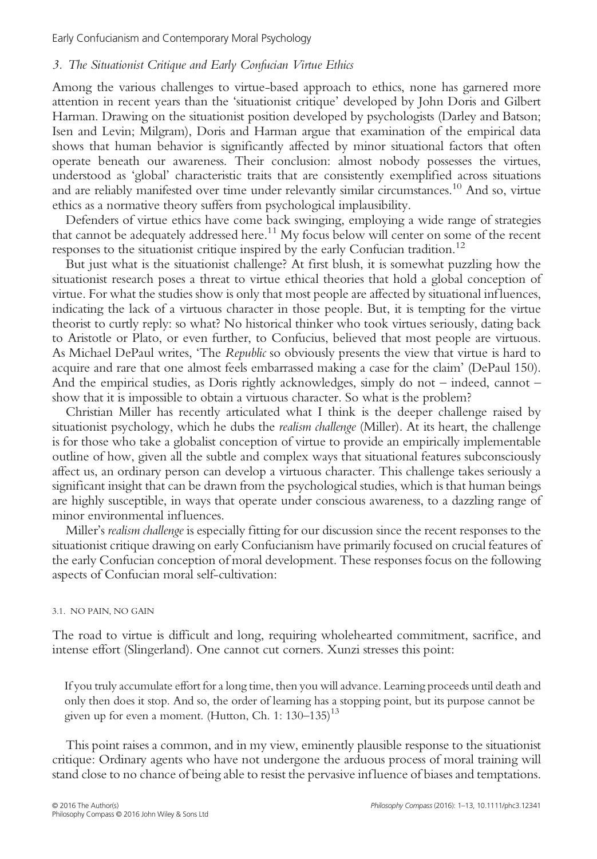## 3. The Situationist Critique and Early Confucian Virtue Ethics

Among the various challenges to virtue-based approach to ethics, none has garnered more attention in recent years than the 'situationist critique' developed by John Doris and Gilbert Harman. Drawing on the situationist position developed by psychologists (Darley and Batson; Isen and Levin; Milgram), Doris and Harman argue that examination of the empirical data shows that human behavior is significantly affected by minor situational factors that often operate beneath our awareness. Their conclusion: almost nobody possesses the virtues, understood as 'global' characteristic traits that are consistently exemplified across situations and are reliably manifested over time under relevantly similar circumstances.<sup>10</sup> And so, virtue ethics as a normative theory suffers from psychological implausibility.

Defenders of virtue ethics have come back swinging, employing a wide range of strategies that cannot be adequately addressed here.<sup>11</sup> My focus below will center on some of the recent responses to the situationist critique inspired by the early Confucian tradition.<sup>12</sup>

But just what is the situationist challenge? At first blush, it is somewhat puzzling how the situationist research poses a threat to virtue ethical theories that hold a global conception of virtue. For what the studies show is only that most people are affected by situational inf luences, indicating the lack of a virtuous character in those people. But, it is tempting for the virtue theorist to curtly reply: so what? No historical thinker who took virtues seriously, dating back to Aristotle or Plato, or even further, to Confucius, believed that most people are virtuous. As Michael DePaul writes, 'The Republic so obviously presents the view that virtue is hard to acquire and rare that one almost feels embarrassed making a case for the claim' (DePaul 150). And the empirical studies, as Doris rightly acknowledges, simply do not – indeed, cannot – show that it is impossible to obtain a virtuous character. So what is the problem?

Christian Miller has recently articulated what I think is the deeper challenge raised by situationist psychology, which he dubs the *realism challenge* (Miller). At its heart, the challenge is for those who take a globalist conception of virtue to provide an empirically implementable outline of how, given all the subtle and complex ways that situational features subconsciously affect us, an ordinary person can develop a virtuous character. This challenge takes seriously a significant insight that can be drawn from the psychological studies, which is that human beings are highly susceptible, in ways that operate under conscious awareness, to a dazzling range of minor environmental inf luences.

Miller's realism challenge is especially fitting for our discussion since the recent responses to the situationist critique drawing on early Confucianism have primarily focused on crucial features of the early Confucian conception of moral development. These responses focus on the following aspects of Confucian moral self-cultivation:

#### 3.1. NO PAIN, NO GAIN

The road to virtue is difficult and long, requiring wholehearted commitment, sacrifice, and intense effort (Slingerland). One cannot cut corners. Xunzi stresses this point:

If you truly accumulate effort for a long time, then you will advance. Learning proceeds until death and only then does it stop. And so, the order of learning has a stopping point, but its purpose cannot be given up for even a moment. (Hutton, Ch. 1:  $130-135$ )<sup>13</sup>

This point raises a common, and in my view, eminently plausible response to the situationist critique: Ordinary agents who have not undergone the arduous process of moral training will stand close to no chance of being able to resist the pervasive inf luence of biases and temptations.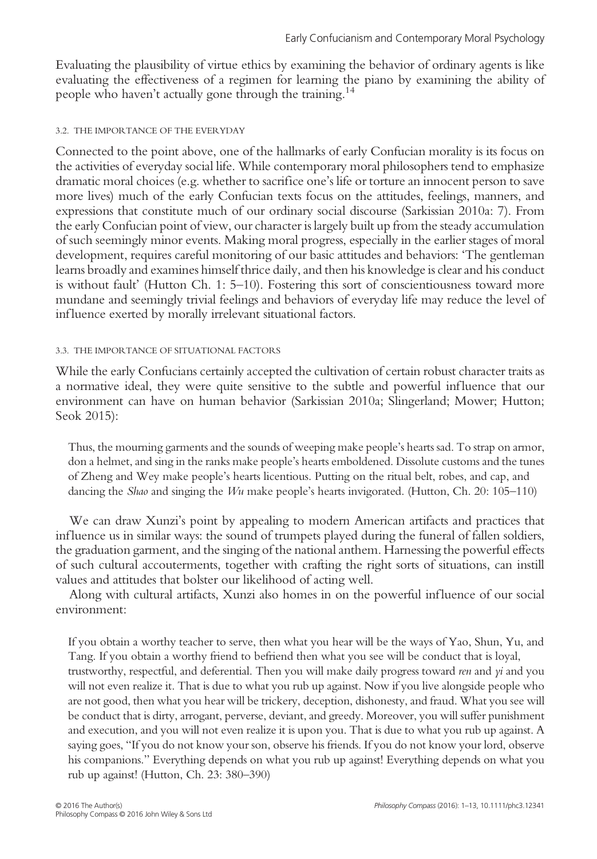Evaluating the plausibility of virtue ethics by examining the behavior of ordinary agents is like evaluating the effectiveness of a regimen for learning the piano by examining the ability of people who haven't actually gone through the training.<sup>14</sup>

#### 3.2. THE IMPORTANCE OF THE EVERYDAY

Connected to the point above, one of the hallmarks of early Confucian morality is its focus on the activities of everyday social life. While contemporary moral philosophers tend to emphasize dramatic moral choices (e.g. whether to sacrifice one's life or torture an innocent person to save more lives) much of the early Confucian texts focus on the attitudes, feelings, manners, and expressions that constitute much of our ordinary social discourse (Sarkissian 2010a: 7). From the early Confucian point of view, our character is largely built up from the steady accumulation of such seemingly minor events. Making moral progress, especially in the earlier stages of moral development, requires careful monitoring of our basic attitudes and behaviors: 'The gentleman learns broadly and examines himself thrice daily, and then his knowledge is clear and his conduct is without fault' (Hutton Ch. 1: 5–10). Fostering this sort of conscientiousness toward more mundane and seemingly trivial feelings and behaviors of everyday life may reduce the level of inf luence exerted by morally irrelevant situational factors.

### 3.3. THE IMPORTANCE OF SITUATIONAL FACTORS

While the early Confucians certainly accepted the cultivation of certain robust character traits as a normative ideal, they were quite sensitive to the subtle and powerful inf luence that our environment can have on human behavior (Sarkissian 2010a; Slingerland; Mower; Hutton; Seok 2015):

Thus, the mourning garments and the sounds of weeping make people's hearts sad. To strap on armor, don a helmet, and sing in the ranks make people's hearts emboldened. Dissolute customs and the tunes of Zheng and Wey make people's hearts licentious. Putting on the ritual belt, robes, and cap, and dancing the *Shao* and singing the *Wu* make people's hearts invigorated. (Hutton, Ch. 20: 105–110)

We can draw Xunzi's point by appealing to modern American artifacts and practices that inf luence us in similar ways: the sound of trumpets played during the funeral of fallen soldiers, the graduation garment, and the singing of the national anthem. Harnessing the powerful effects of such cultural accouterments, together with crafting the right sorts of situations, can instill values and attitudes that bolster our likelihood of acting well.

Along with cultural artifacts, Xunzi also homes in on the powerful influence of our social environment:

If you obtain a worthy teacher to serve, then what you hear will be the ways of Yao, Shun, Yu, and Tang. If you obtain a worthy friend to befriend then what you see will be conduct that is loyal, trustworthy, respectful, and deferential. Then you will make daily progress toward ren and  $\gamma i$  and you will not even realize it. That is due to what you rub up against. Now if you live alongside people who are not good, then what you hear will be trickery, deception, dishonesty, and fraud. What you see will be conduct that is dirty, arrogant, perverse, deviant, and greedy. Moreover, you will suffer punishment and execution, and you will not even realize it is upon you. That is due to what you rub up against. A saying goes, "If you do not know your son, observe his friends. If you do not know your lord, observe his companions." Everything depends on what you rub up against! Everything depends on what you rub up against! (Hutton, Ch. 23: 380–390)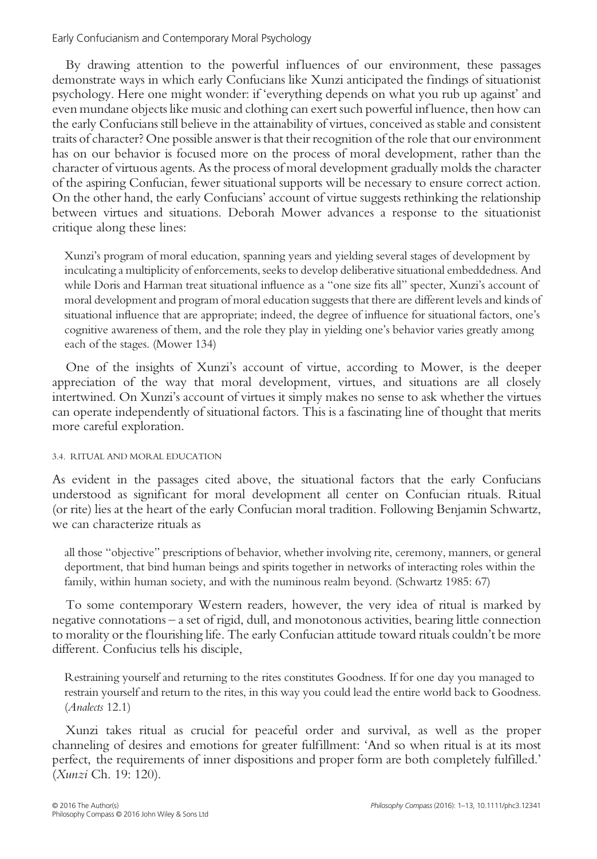## Early Confucianism and Contemporary Moral Psychology

By drawing attention to the powerful influences of our environment, these passages demonstrate ways in which early Confucians like Xunzi anticipated the findings of situationist psychology. Here one might wonder: if 'everything depends on what you rub up against' and even mundane objects like music and clothing can exert such powerful inf luence, then how can the early Confucians still believe in the attainability of virtues, conceived as stable and consistent traits of character? One possible answer is that their recognition of the role that our environment has on our behavior is focused more on the process of moral development, rather than the character of virtuous agents. As the process of moral development gradually molds the character of the aspiring Confucian, fewer situational supports will be necessary to ensure correct action. On the other hand, the early Confucians' account of virtue suggests rethinking the relationship between virtues and situations. Deborah Mower advances a response to the situationist critique along these lines:

Xunzi's program of moral education, spanning years and yielding several stages of development by inculcating a multiplicity of enforcements, seeks to develop deliberative situational embeddedness. And while Doris and Harman treat situational influence as a "one size fits all" specter, Xunzi's account of moral development and program of moral education suggests that there are different levels and kinds of situational influence that are appropriate; indeed, the degree of influence for situational factors, one's cognitive awareness of them, and the role they play in yielding one's behavior varies greatly among each of the stages. (Mower 134)

One of the insights of Xunzi's account of virtue, according to Mower, is the deeper appreciation of the way that moral development, virtues, and situations are all closely intertwined. On Xunzi's account of virtues it simply makes no sense to ask whether the virtues can operate independently of situational factors. This is a fascinating line of thought that merits more careful exploration.

#### 3.4. RITUAL AND MORAL EDUCATION

As evident in the passages cited above, the situational factors that the early Confucians understood as significant for moral development all center on Confucian rituals. Ritual (or rite) lies at the heart of the early Confucian moral tradition. Following Benjamin Schwartz, we can characterize rituals as

all those "objective" prescriptions of behavior, whether involving rite, ceremony, manners, or general deportment, that bind human beings and spirits together in networks of interacting roles within the family, within human society, and with the numinous realm beyond. (Schwartz 1985: 67)

To some contemporary Western readers, however, the very idea of ritual is marked by negative connotations – a set of rigid, dull, and monotonous activities, bearing little connection to morality or the flourishing life. The early Confucian attitude toward rituals couldn't be more different. Confucius tells his disciple,

Restraining yourself and returning to the rites constitutes Goodness. If for one day you managed to restrain yourself and return to the rites, in this way you could lead the entire world back to Goodness. (Analects 12.1)

Xunzi takes ritual as crucial for peaceful order and survival, as well as the proper channeling of desires and emotions for greater fulfillment: 'And so when ritual is at its most perfect, the requirements of inner dispositions and proper form are both completely fulfilled.' (Xunzi Ch. 19: 120).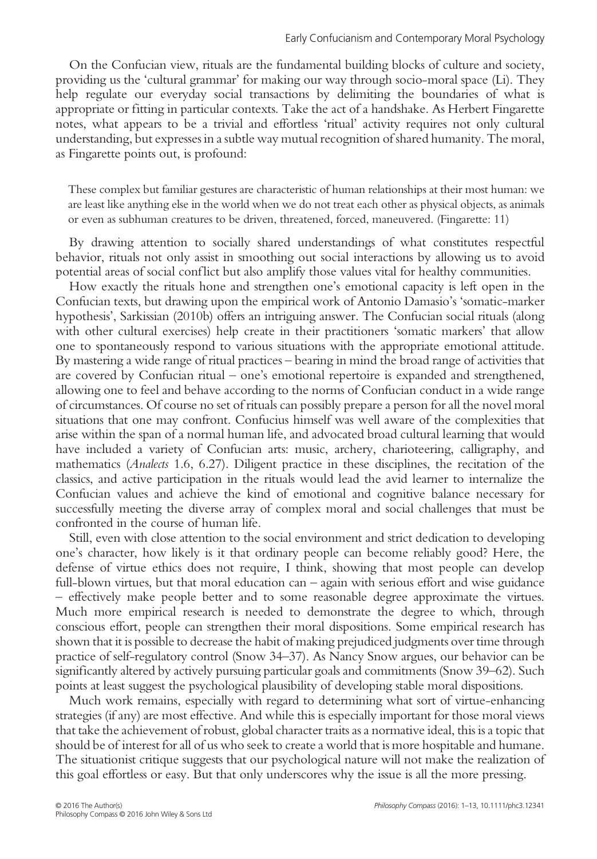On the Confucian view, rituals are the fundamental building blocks of culture and society, providing us the 'cultural grammar' for making our way through socio-moral space (Li). They help regulate our everyday social transactions by delimiting the boundaries of what is appropriate or fitting in particular contexts. Take the act of a handshake. As Herbert Fingarette notes, what appears to be a trivial and effortless 'ritual' activity requires not only cultural understanding, but expresses in a subtle way mutual recognition of shared humanity. The moral, as Fingarette points out, is profound:

These complex but familiar gestures are characteristic of human relationships at their most human: we are least like anything else in the world when we do not treat each other as physical objects, as animals or even as subhuman creatures to be driven, threatened, forced, maneuvered. (Fingarette: 11)

By drawing attention to socially shared understandings of what constitutes respectful behavior, rituals not only assist in smoothing out social interactions by allowing us to avoid potential areas of social conflict but also amplify those values vital for healthy communities.

How exactly the rituals hone and strengthen one's emotional capacity is left open in the Confucian texts, but drawing upon the empirical work of Antonio Damasio's 'somatic-marker hypothesis', Sarkissian (2010b) offers an intriguing answer. The Confucian social rituals (along with other cultural exercises) help create in their practitioners 'somatic markers' that allow one to spontaneously respond to various situations with the appropriate emotional attitude. By mastering a wide range of ritual practices – bearing in mind the broad range of activities that are covered by Confucian ritual – one's emotional repertoire is expanded and strengthened, allowing one to feel and behave according to the norms of Confucian conduct in a wide range of circumstances. Of course no set of rituals can possibly prepare a person for all the novel moral situations that one may confront. Confucius himself was well aware of the complexities that arise within the span of a normal human life, and advocated broad cultural learning that would have included a variety of Confucian arts: music, archery, charioteering, calligraphy, and mathematics (*Analects* 1.6, 6.27). Diligent practice in these disciplines, the recitation of the classics, and active participation in the rituals would lead the avid learner to internalize the Confucian values and achieve the kind of emotional and cognitive balance necessary for successfully meeting the diverse array of complex moral and social challenges that must be confronted in the course of human life.

Still, even with close attention to the social environment and strict dedication to developing one's character, how likely is it that ordinary people can become reliably good? Here, the defense of virtue ethics does not require, I think, showing that most people can develop full-blown virtues, but that moral education can – again with serious effort and wise guidance – effectively make people better and to some reasonable degree approximate the virtues. Much more empirical research is needed to demonstrate the degree to which, through conscious effort, people can strengthen their moral dispositions. Some empirical research has shown that it is possible to decrease the habit of making prejudiced judgments over time through practice of self-regulatory control (Snow 34–37). As Nancy Snow argues, our behavior can be significantly altered by actively pursuing particular goals and commitments (Snow 39–62). Such points at least suggest the psychological plausibility of developing stable moral dispositions.

Much work remains, especially with regard to determining what sort of virtue-enhancing strategies (if any) are most effective. And while this is especially important for those moral views that take the achievement of robust, global character traits as a normative ideal, this is a topic that should be of interest for all of us who seek to create a world that is more hospitable and humane. The situationist critique suggests that our psychological nature will not make the realization of this goal effortless or easy. But that only underscores why the issue is all the more pressing.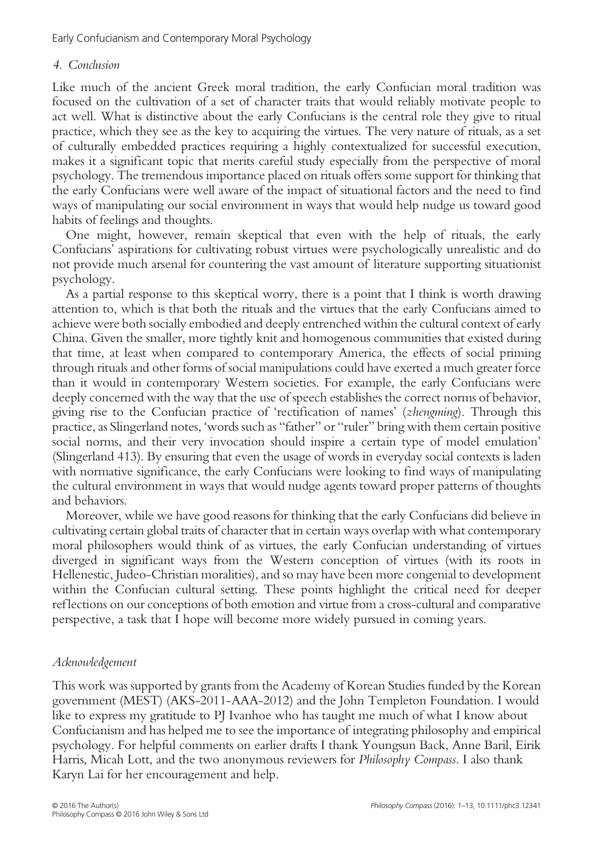# 4. Conclusion

Like much of the ancient Greek moral tradition, the early Confucian moral tradition was focused on the cultivation of a set of character traits that would reliably motivate people to act well. What is distinctive about the early Confucians is the central role they give to ritual practice, which they see as the key to acquiring the virtues. The very nature of rituals, as a set of culturally embedded practices requiring a highly contextualized for successful execution, makes it a significant topic that merits careful study especially from the perspective of moral psychology. The tremendous importance placed on rituals offers some support for thinking that the early Confucians were well aware of the impact of situational factors and the need to find ways of manipulating our social environment in ways that would help nudge us toward good habits of feelings and thoughts.

One might, however, remain skeptical that even with the help of rituals, the early Confucians' aspirations for cultivating robust virtues were psychologically unrealistic and do not provide much arsenal for countering the vast amount of literature supporting situationist psychology.

As a partial response to this skeptical worry, there is a point that I think is worth drawing attention to, which is that both the rituals and the virtues that the early Confucians aimed to achieve were both socially embodied and deeply entrenched within the cultural context of early China. Given the smaller, more tightly knit and homogenous communities that existed during that time, at least when compared to contemporary America, the effects of social priming through rituals and other forms of social manipulations could have exerted a much greater force than it would in contemporary Western societies. For example, the early Confucians were deeply concerned with the way that the use of speech establishes the correct norms of behavior, giving rise to the Confucian practice of 'rectification of names' (zhengming). Through this practice, as Slingerland notes, 'words such as "father" or "ruler" bring with them certain positive social norms, and their very invocation should inspire a certain type of model emulation' (Slingerland 413). By ensuring that even the usage of words in everyday social contexts is laden with normative significance, the early Confucians were looking to find ways of manipulating the cultural environment in ways that would nudge agents toward proper patterns of thoughts and behaviors.

Moreover, while we have good reasons for thinking that the early Confucians did believe in cultivating certain global traits of character that in certain ways overlap with what contemporary moral philosophers would think of as virtues, the early Confucian understanding of virtues diverged in significant ways from the Western conception of virtues (with its roots in Hellenestic, Judeo-Christian moralities), and so may have been more congenial to development within the Confucian cultural setting. These points highlight the critical need for deeper ref lections on our conceptions of both emotion and virtue from a cross-cultural and comparative perspective, a task that I hope will become more widely pursued in coming years.

# Acknowledgement

This work was supported by grants from the Academy of Korean Studies funded by the Korean government (MEST) (AKS-2011-AAA-2012) and the John Templeton Foundation. I would like to express my gratitude to PJ Ivanhoe who has taught me much of what I know about Confucianism and has helped me to see the importance of integrating philosophy and empirical psychology. For helpful comments on earlier drafts I thank Youngsun Back, Anne Baril, Eirik Harris, Micah Lott, and the two anonymous reviewers for Philosophy Compass. I also thank Karyn Lai for her encouragement and help.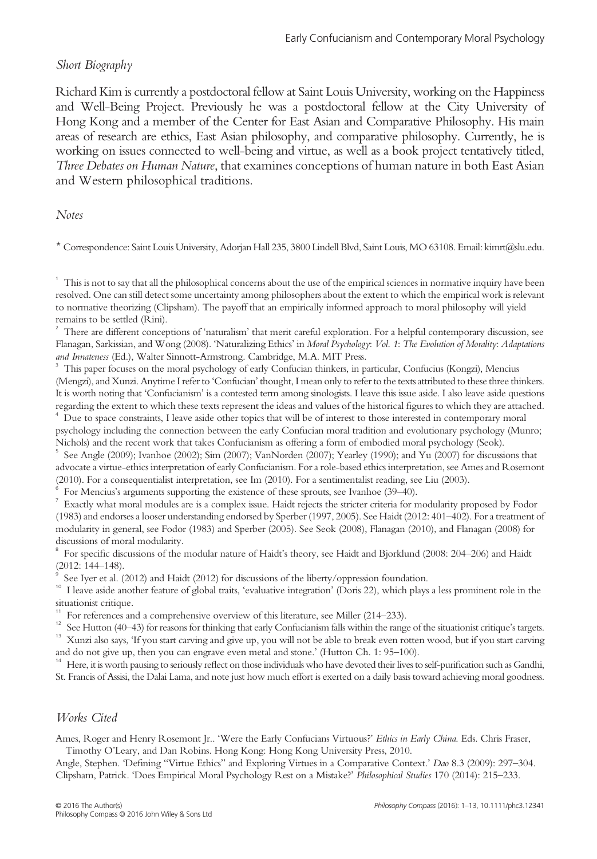### Short Biography

Richard Kim is currently a postdoctoral fellow at Saint Louis University, working on the Happiness and Well-Being Project. Previously he was a postdoctoral fellow at the City University of Hong Kong and a member of the Center for East Asian and Comparative Philosophy. His main areas of research are ethics, East Asian philosophy, and comparative philosophy. Currently, he is working on issues connected to well-being and virtue, as well as a book project tentatively titled, Three Debates on Human Nature, that examines conceptions of human nature in both East Asian and Western philosophical traditions.

#### Notes

\* Correspondence: Saint Louis University, Adorjan Hall 235, 3800 Lindell Blvd, Saint Louis, MO 63108. Email: kimrt@slu.edu.

2 There are different conceptions of 'naturalism' that merit careful exploration. For a helpful contemporary discussion, see Flanagan, Sarkissian, and Wong (2008). 'Naturalizing Ethics' in Moral Psychology: Vol. 1: The Evolution of Morality: Adaptations and Innateness (Ed.), Walter Sinnott-Armstrong. Cambridge, M.A. MIT Press.

3 This paper focuses on the moral psychology of early Confucian thinkers, in particular, Confucius (Kongzi), Mencius (Mengzi), and Xunzi. Anytime I refer to 'Confucian' thought, I mean only to refer to the textsattributed to these three thinkers. It is worth noting that 'Confucianism' is a contested term among sinologists. I leave this issue aside. I also leave aside questions regarding the extent to which these texts represent the ideas and values of the historical figures to which they are attached.

4 Due to space constraints, I leave aside other topics that will be of interest to those interested in contemporary moral psychology including the connection between the early Confucian moral tradition and evolutionary psychology (Munro; Nichols) and the recent work that takes Confucianism as offering a form of embodied moral psychology (Seok).

5 See Angle (2009); Ivanhoe (2002); Sim (2007); VanNorden (2007); Yearley (1990); and Yu (2007) for discussions that advocate a virtue-ethics interpretation of early Confucianism. For a role-based ethics interpretation, see Ames and Rosemont (2010). For a consequentialist interpretation, see Im (2010). For a sentimentalist reading, see Liu (2003).

6 For Mencius's arguments supporting the existence of these sprouts, see Ivanhoe (39–40).

7 Exactly what moral modules are is a complex issue. Haidt rejects the stricter criteria for modularity proposed by Fodor (1983) and endorses a looser understanding endorsed by Sperber (1997, 2005). See Haidt (2012: 401–402). For a treatment of modularity in general, see Fodor (1983) and Sperber (2005). See Seok (2008), Flanagan (2010), and Flanagan (2008) for discussions of moral modularity.

8 For specific discussions of the modular nature of Haidt's theory, see Haidt and Bjorklund (2008: 204–206) and Haidt (2012: 144–148).

9 See Iyer et al. (2012) and Haidt (2012) for discussions of the liberty/oppression foundation.

<sup>10</sup> I leave aside another feature of global traits, 'evaluative integration' (Doris 22), which plays a less prominent role in the situationist critique.

<sup>11</sup> For references and a comprehensive overview of this literature, see Miller (214–233).

<sup>12</sup> See Hutton (40–43) for reasons for thinking that early Confucianism falls within the range of the situationist critique's targets.

<sup>13</sup> Xunzi also says, 'If you start carving and give up, you will not be able to break even rotten wood, but if you start carving and do not give up, then you can engrave even metal and stone.' (Hutton Ch. 1: 95–100).

<sup>14</sup> Here, it is worth pausing to seriously reflect on those individuals who have devoted their lives to self-purification such as Gandhi, St. Francis of Assisi, the Dalai Lama, and note just how much effort is exerted on a daily basis toward achieving moral goodness.

#### Works Cited

Ames, Roger and Henry Rosemont Jr.. 'Were the Early Confucians Virtuous?' Ethics in Early China. Eds. Chris Fraser, Timothy O'Leary, and Dan Robins. Hong Kong: Hong Kong University Press, 2010.

Angle, Stephen. 'Defining "Virtue Ethics" and Exploring Virtues in a Comparative Context.' Dao 8.3 (2009): 297–304. Clipsham, Patrick. 'Does Empirical Moral Psychology Rest on a Mistake?' Philosophical Studies 170 (2014): 215–233.

<sup>1</sup> This is not to say that all the philosophical concerns about the use of the empirical sciences in normative inquiry have been resolved. One can still detect some uncertainty among philosophers about the extent to which the empirical work is relevant to normative theorizing (Clipsham). The payoff that an empirically informed approach to moral philosophy will yield remains to be settled (Rini).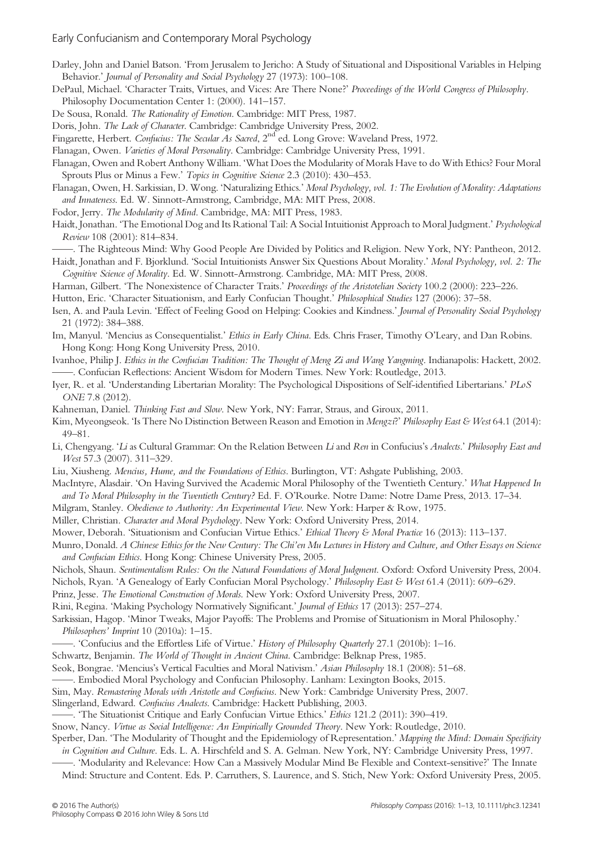- Darley, John and Daniel Batson. 'From Jerusalem to Jericho: A Study of Situational and Dispositional Variables in Helping Behavior.' Journal of Personality and Social Psychology 27 (1973): 100-108.
- DePaul, Michael. 'Character Traits, Virtues, and Vices: Are There None?' Proceedings of the World Congress of Philosophy. Philosophy Documentation Center 1: (2000). 141–157.
- De Sousa, Ronald. The Rationality of Emotion. Cambridge: MIT Press, 1987.
- Doris, John. The Lack of Character. Cambridge: Cambridge University Press, 2002.
- Fingarette, Herbert. Confucius: The Secular As Sacred, 2<sup>nd</sup> ed. Long Grove: Waveland Press, 1972.
- Flanagan, Owen. Varieties of Moral Personality. Cambridge: Cambridge University Press, 1991.
- Flanagan, Owen and Robert Anthony William. 'What Does the Modularity of Morals Have to do With Ethics? Four Moral Sprouts Plus or Minus a Few.' Topics in Cognitive Science 2.3 (2010): 430-453.
- Flanagan, Owen, H. Sarkissian, D. Wong. 'Naturalizing Ethics.' Moral Psychology, vol. 1: The Evolution of Morality: Adaptations and Innateness. Ed. W. Sinnott-Armstrong, Cambridge, MA: MIT Press, 2008.
- Fodor, Jerry. The Modularity of Mind. Cambridge, MA: MIT Press, 1983.
- Haidt, Jonathan. 'The Emotional Dog and Its Rational Tail: A Social Intuitionist Approach to Moral Judgment.' Psychological Review 108 (2001): 814–834.
- ——. The Righteous Mind: Why Good People Are Divided by Politics and Religion. New York, NY: Pantheon, 2012. Haidt, Jonathan and F. Bjorklund. 'Social Intuitionists Answer Six Questions About Morality.' Moral Psychology, vol. 2: The

Cognitive Science of Morality. Ed. W. Sinnott-Armstrong. Cambridge, MA: MIT Press, 2008.

- Harman, Gilbert. 'The Nonexistence of Character Traits.' Proceedings of the Aristotelian Society 100.2 (2000): 223–226.
- Hutton, Eric. 'Character Situationism, and Early Confucian Thought.' Philosophical Studies 127 (2006): 37–58.
- Isen, A. and Paula Levin. 'Effect of Feeling Good on Helping: Cookies and Kindness.' Journal of Personality Social Psychology 21 (1972): 384–388.
- Im, Manyul. 'Mencius as Consequentialist.' Ethics in Early China. Eds. Chris Fraser, Timothy O'Leary, and Dan Robins. Hong Kong: Hong Kong University Press, 2010.
- Ivanhoe, Philip J. Ethics in the Confucian Tradition: The Thought of Meng Zi and Wang Yangming. Indianapolis: Hackett, 2002. ——. Confucian Reflections: Ancient Wisdom for Modern Times. New York: Routledge, 2013.
- Iyer, R. et al. 'Understanding Libertarian Morality: The Psychological Dispositions of Self-identified Libertarians.' PLoS ONE 7.8 (2012).
- Kahneman, Daniel. Thinking Fast and Slow. New York, NY: Farrar, Straus, and Giroux, 2011.
- Kim, Myeongseok. 'Is There No Distinction Between Reason and Emotion in Mengzi?' Philosophy East & West 64.1 (2014): 49–81.
- Li, Chengyang. 'Li as Cultural Grammar: On the Relation Between Li and Ren in Confucius's Analects.' Philosophy East and West 57.3 (2007). 311–329.
- Liu, Xiusheng. Mencius, Hume, and the Foundations of Ethics. Burlington, VT: Ashgate Publishing, 2003.
- MacIntyre, Alasdair. 'On Having Survived the Academic Moral Philosophy of the Twentieth Century.' What Happened In and To Moral Philosophy in the Twentieth Century? Ed. F. O'Rourke. Notre Dame: Notre Dame Press, 2013. 17–34.
- Milgram, Stanley. Obedience to Authority: An Experimental View. New York: Harper & Row, 1975.
- Miller, Christian. Character and Moral Psychology. New York: Oxford University Press, 2014.
- Mower, Deborah. 'Situationism and Confucian Virtue Ethics.' Ethical Theory & Moral Practice 16 (2013): 113–137.
- Munro, Donald. A Chinese Ethics for the New Century: The Chi'en Mu Lectures in History and Culture, and Other Essays on Science and Confucian Ethics. Hong Kong: Chinese University Press, 2005.
- Nichols, Shaun. Sentimentalism Rules: On the Natural Foundations of Moral Judgment. Oxford: Oxford University Press, 2004.
- Nichols, Ryan. 'A Genealogy of Early Confucian Moral Psychology.' Philosophy East & West 61.4 (2011): 609–629.

Prinz, Jesse. The Emotional Construction of Morals. New York: Oxford University Press, 2007.

Rini, Regina. 'Making Psychology Normatively Significant.' Journal of Ethics 17 (2013): 257–274.

Sarkissian, Hagop. 'Minor Tweaks, Major Payoffs: The Problems and Promise of Situationism in Moral Philosophy.' Philosophers' Imprint 10 (2010a): 1–15.

- ——. 'Confucius and the Effortless Life of Virtue.' History of Philosophy Quarterly 27.1 (2010b): 1–16.
- Schwartz, Benjamin. The World of Thought in Ancient China. Cambridge: Belknap Press, 1985.
- Seok, Bongrae. 'Mencius's Vertical Faculties and Moral Nativism.' Asian Philosophy 18.1 (2008): 51–68.
- ——. Embodied Moral Psychology and Confucian Philosophy. Lanham: Lexington Books, 2015.
- Sim, May. Remastering Morals with Aristotle and Confucius. New York: Cambridge University Press, 2007.
- Slingerland, Edward. Confucius Analects. Cambridge: Hackett Publishing, 2003.
- ——. 'The Situationist Critique and Early Confucian Virtue Ethics.' Ethics 121.2 (2011): 390–419.
- Snow, Nancy. Virtue as Social Intelligence: An Empirically Grounded Theory. New York: Routledge, 2010.

Sperber, Dan. 'The Modularity of Thought and the Epidemiology of Representation.' Mapping the Mind: Domain Specificity in Cognition and Culture. Eds. L. A. Hirschfeld and S. A. Gelman. New York, NY: Cambridge University Press, 1997.

——. 'Modularity and Relevance: How Can a Massively Modular Mind Be Flexible and Context-sensitive?' The Innate

Mind: Structure and Content. Eds. P. Carruthers, S. Laurence, and S. Stich, New York: Oxford University Press, 2005.